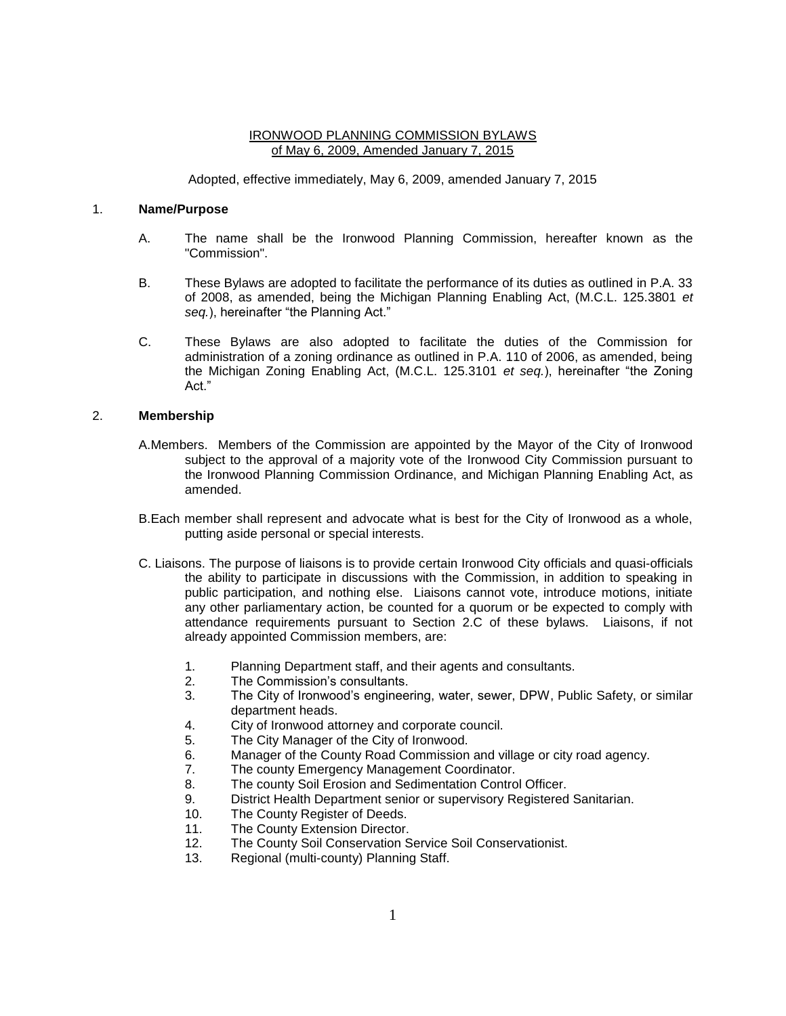## IRONWOOD PLANNING COMMISSION BYLAWS of May 6, 2009, Amended January 7, 2015

Adopted, effective immediately, May 6, 2009, amended January 7, 2015

### 1. **Name/Purpose**

- A. The name shall be the Ironwood Planning Commission, hereafter known as the "Commission".
- B. These Bylaws are adopted to facilitate the performance of its duties as outlined in P.A. 33 of 2008, as amended, being the Michigan Planning Enabling Act, (M.C.L. 125.3801 *et seq.*), hereinafter "the Planning Act."
- C. These Bylaws are also adopted to facilitate the duties of the Commission for administration of a zoning ordinance as outlined in P.A. 110 of 2006, as amended, being the Michigan Zoning Enabling Act, (M.C.L. 125.3101 *et seq.*), hereinafter "the Zoning Act."

# 2. **Membership**

- A.Members. Members of the Commission are appointed by the Mayor of the City of Ironwood subject to the approval of a majority vote of the Ironwood City Commission pursuant to the Ironwood Planning Commission Ordinance, and Michigan Planning Enabling Act, as amended.
- B.Each member shall represent and advocate what is best for the City of Ironwood as a whole, putting aside personal or special interests.
- C. Liaisons. The purpose of liaisons is to provide certain Ironwood City officials and quasi-officials the ability to participate in discussions with the Commission, in addition to speaking in public participation, and nothing else. Liaisons cannot vote, introduce motions, initiate any other parliamentary action, be counted for a quorum or be expected to comply with attendance requirements pursuant to Section 2.C of these bylaws. Liaisons, if not already appointed Commission members, are:
	- 1. Planning Department staff, and their agents and consultants.
	- 2. The Commission's consultants.
	- 3. The City of Ironwood's engineering, water, sewer, DPW, Public Safety, or similar department heads.
	- 4. City of Ironwood attorney and corporate council.
	- 5. The City Manager of the City of Ironwood.
	- 6. Manager of the County Road Commission and village or city road agency.
	- 7. The county Emergency Management Coordinator.
	- 8. The county Soil Erosion and Sedimentation Control Officer.
	- 9. District Health Department senior or supervisory Registered Sanitarian.
	- 10. The County Register of Deeds.
	- 11. The County Extension Director.
	- 12. The County Soil Conservation Service Soil Conservationist.
	- 13. Regional (multi-county) Planning Staff.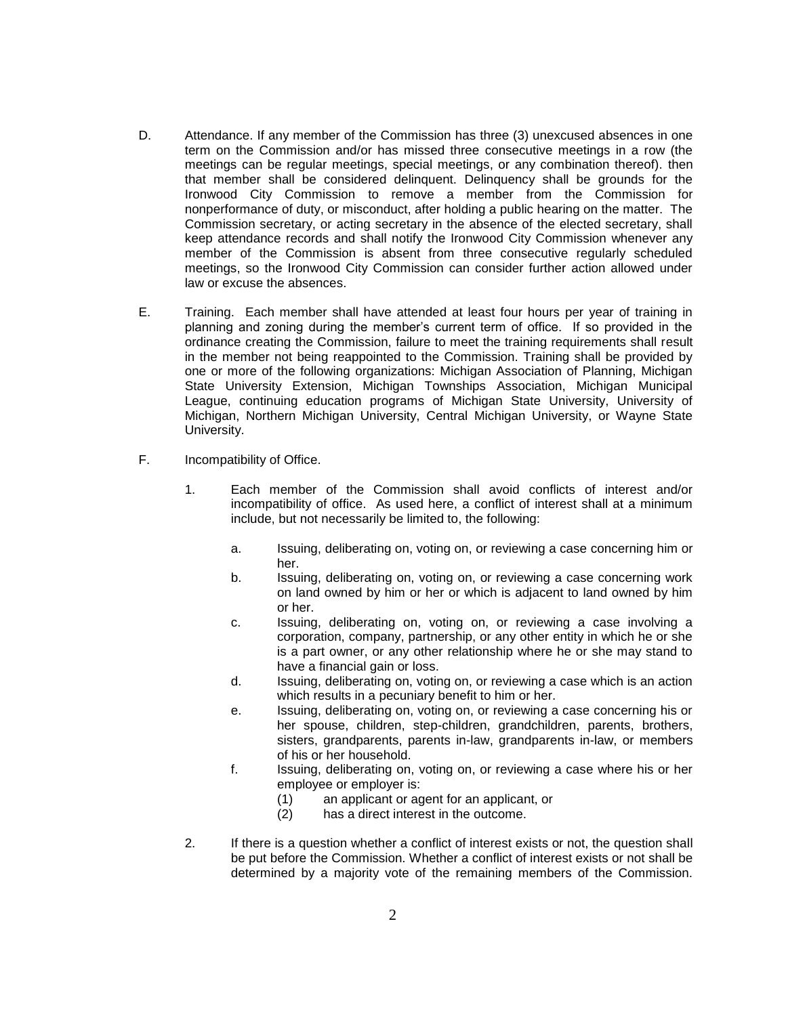- D. Attendance. If any member of the Commission has three (3) unexcused absences in one term on the Commission and/or has missed three consecutive meetings in a row (the meetings can be regular meetings, special meetings, or any combination thereof). then that member shall be considered delinquent. Delinquency shall be grounds for the Ironwood City Commission to remove a member from the Commission for nonperformance of duty, or misconduct, after holding a public hearing on the matter. The Commission secretary, or acting secretary in the absence of the elected secretary, shall keep attendance records and shall notify the Ironwood City Commission whenever any member of the Commission is absent from three consecutive regularly scheduled meetings, so the Ironwood City Commission can consider further action allowed under law or excuse the absences.
- E. Training. Each member shall have attended at least four hours per year of training in planning and zoning during the member's current term of office. If so provided in the ordinance creating the Commission, failure to meet the training requirements shall result in the member not being reappointed to the Commission. Training shall be provided by one or more of the following organizations: Michigan Association of Planning, Michigan State University Extension, Michigan Townships Association, Michigan Municipal League, continuing education programs of Michigan State University, University of Michigan, Northern Michigan University, Central Michigan University, or Wayne State University.
- F. Incompatibility of Office.
	- 1. Each member of the Commission shall avoid conflicts of interest and/or incompatibility of office. As used here, a conflict of interest shall at a minimum include, but not necessarily be limited to, the following:
		- a. Issuing, deliberating on, voting on, or reviewing a case concerning him or her.
		- b. Issuing, deliberating on, voting on, or reviewing a case concerning work on land owned by him or her or which is adjacent to land owned by him or her.
		- c. Issuing, deliberating on, voting on, or reviewing a case involving a corporation, company, partnership, or any other entity in which he or she is a part owner, or any other relationship where he or she may stand to have a financial gain or loss.
		- d. Issuing, deliberating on, voting on, or reviewing a case which is an action which results in a pecuniary benefit to him or her.
		- e. Issuing, deliberating on, voting on, or reviewing a case concerning his or her spouse, children, step-children, grandchildren, parents, brothers, sisters, grandparents, parents in-law, grandparents in-law, or members of his or her household.
		- f. Issuing, deliberating on, voting on, or reviewing a case where his or her employee or employer is:
			- (1) an applicant or agent for an applicant, or
			- (2) has a direct interest in the outcome.
	- 2. If there is a question whether a conflict of interest exists or not, the question shall be put before the Commission. Whether a conflict of interest exists or not shall be determined by a majority vote of the remaining members of the Commission.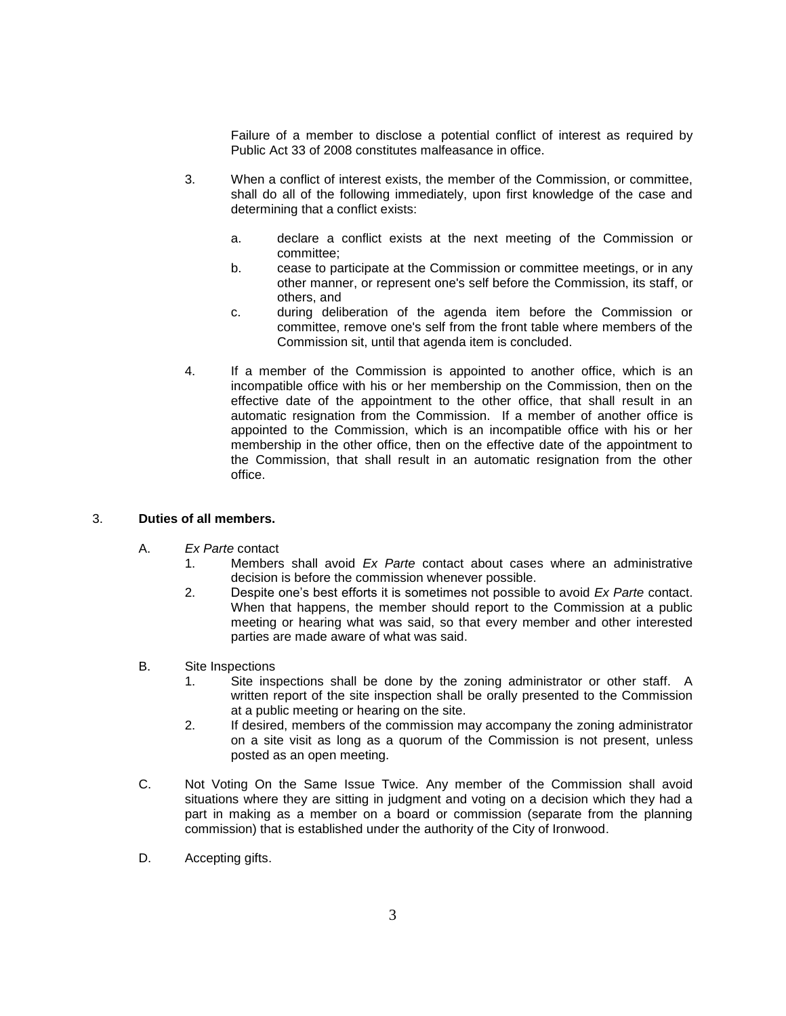Failure of a member to disclose a potential conflict of interest as required by Public Act 33 of 2008 constitutes malfeasance in office.

- 3. When a conflict of interest exists, the member of the Commission, or committee, shall do all of the following immediately, upon first knowledge of the case and determining that a conflict exists:
	- a. declare a conflict exists at the next meeting of the Commission or committee;
	- b. cease to participate at the Commission or committee meetings, or in any other manner, or represent one's self before the Commission, its staff, or others, and
	- c. during deliberation of the agenda item before the Commission or committee, remove one's self from the front table where members of the Commission sit, until that agenda item is concluded.
- 4. If a member of the Commission is appointed to another office, which is an incompatible office with his or her membership on the Commission, then on the effective date of the appointment to the other office, that shall result in an automatic resignation from the Commission. If a member of another office is appointed to the Commission, which is an incompatible office with his or her membership in the other office, then on the effective date of the appointment to the Commission, that shall result in an automatic resignation from the other office.

## 3. **Duties of all members.**

- A. *Ex Parte* contact
	- 1. Members shall avoid *Ex Parte* contact about cases where an administrative decision is before the commission whenever possible.
	- 2. Despite one's best efforts it is sometimes not possible to avoid *Ex Parte* contact. When that happens, the member should report to the Commission at a public meeting or hearing what was said, so that every member and other interested parties are made aware of what was said.

## B. Site Inspections

- 1. Site inspections shall be done by the zoning administrator or other staff. A written report of the site inspection shall be orally presented to the Commission at a public meeting or hearing on the site.
- 2. If desired, members of the commission may accompany the zoning administrator on a site visit as long as a quorum of the Commission is not present, unless posted as an open meeting.
- C. Not Voting On the Same Issue Twice. Any member of the Commission shall avoid situations where they are sitting in judgment and voting on a decision which they had a part in making as a member on a board or commission (separate from the planning commission) that is established under the authority of the City of Ironwood.
- D. Accepting gifts.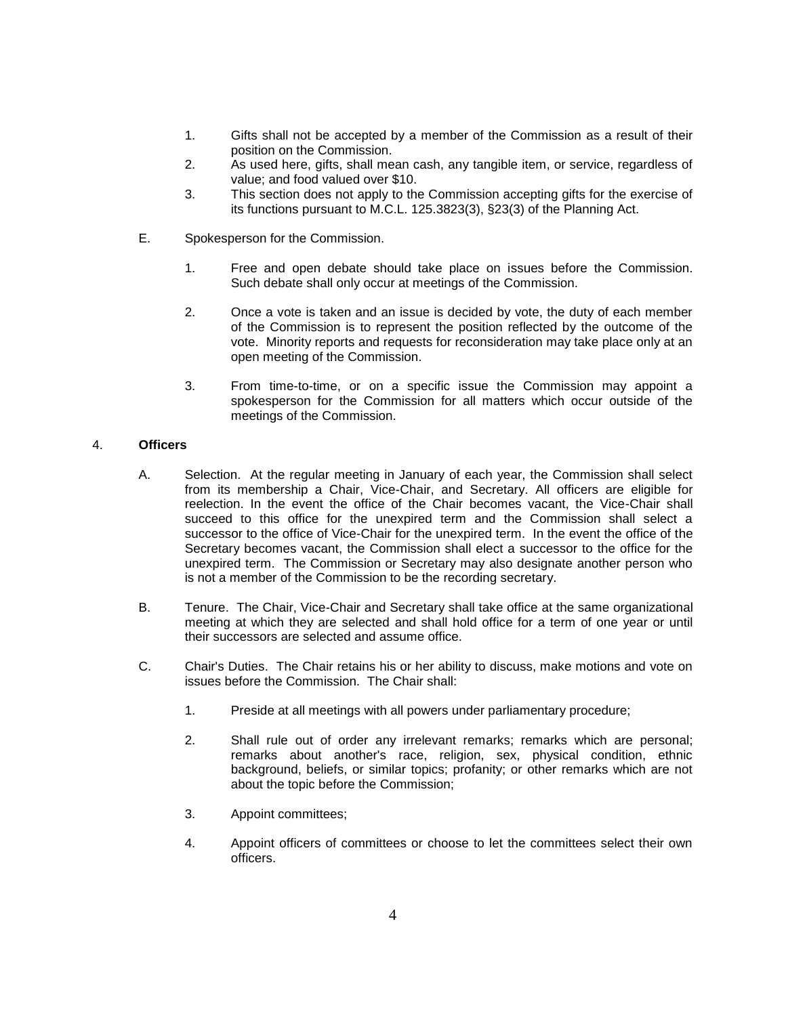- 1. Gifts shall not be accepted by a member of the Commission as a result of their position on the Commission.
- 2. As used here, gifts, shall mean cash, any tangible item, or service, regardless of value; and food valued over \$10.
- 3. This section does not apply to the Commission accepting gifts for the exercise of its functions pursuant to M.C.L. 125.3823(3), §23(3) of the Planning Act.
- E. Spokesperson for the Commission.
	- 1. Free and open debate should take place on issues before the Commission. Such debate shall only occur at meetings of the Commission.
	- 2. Once a vote is taken and an issue is decided by vote, the duty of each member of the Commission is to represent the position reflected by the outcome of the vote. Minority reports and requests for reconsideration may take place only at an open meeting of the Commission.
	- 3. From time-to-time, or on a specific issue the Commission may appoint a spokesperson for the Commission for all matters which occur outside of the meetings of the Commission.

# 4. **Officers**

- A. Selection. At the regular meeting in January of each year, the Commission shall select from its membership a Chair, Vice-Chair, and Secretary. All officers are eligible for reelection. In the event the office of the Chair becomes vacant, the Vice-Chair shall succeed to this office for the unexpired term and the Commission shall select a successor to the office of Vice-Chair for the unexpired term. In the event the office of the Secretary becomes vacant, the Commission shall elect a successor to the office for the unexpired term. The Commission or Secretary may also designate another person who is not a member of the Commission to be the recording secretary.
- B. Tenure. The Chair, Vice-Chair and Secretary shall take office at the same organizational meeting at which they are selected and shall hold office for a term of one year or until their successors are selected and assume office.
- C. Chair's Duties. The Chair retains his or her ability to discuss, make motions and vote on issues before the Commission. The Chair shall:
	- 1. Preside at all meetings with all powers under parliamentary procedure;
	- 2. Shall rule out of order any irrelevant remarks; remarks which are personal; remarks about another's race, religion, sex, physical condition, ethnic background, beliefs, or similar topics; profanity; or other remarks which are not about the topic before the Commission;
	- 3. Appoint committees;
	- 4. Appoint officers of committees or choose to let the committees select their own officers.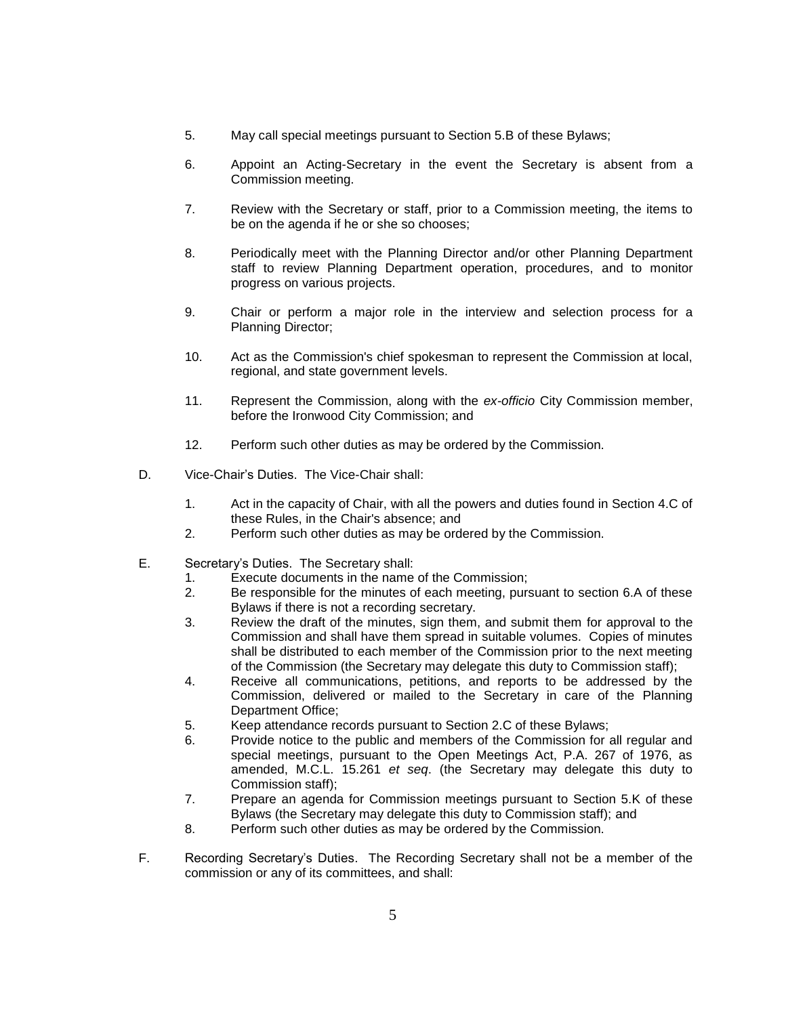- 5. May call special meetings pursuant to Section 5.B of these Bylaws;
- 6. Appoint an Acting-Secretary in the event the Secretary is absent from a Commission meeting.
- 7. Review with the Secretary or staff, prior to a Commission meeting, the items to be on the agenda if he or she so chooses;
- 8. Periodically meet with the Planning Director and/or other Planning Department staff to review Planning Department operation, procedures, and to monitor progress on various projects.
- 9. Chair or perform a major role in the interview and selection process for a Planning Director;
- 10. Act as the Commission's chief spokesman to represent the Commission at local, regional, and state government levels.
- 11. Represent the Commission, along with the *ex-officio* City Commission member, before the Ironwood City Commission; and
- 12. Perform such other duties as may be ordered by the Commission.
- D. Vice-Chair's Duties. The Vice-Chair shall:
	- 1. Act in the capacity of Chair, with all the powers and duties found in Section 4.C of these Rules, in the Chair's absence; and
	- 2. Perform such other duties as may be ordered by the Commission.
- E. Secretary's Duties. The Secretary shall:
	- 1. Execute documents in the name of the Commission;
	- 2. Be responsible for the minutes of each meeting, pursuant to section 6.A of these Bylaws if there is not a recording secretary.
	- 3. Review the draft of the minutes, sign them, and submit them for approval to the Commission and shall have them spread in suitable volumes. Copies of minutes shall be distributed to each member of the Commission prior to the next meeting of the Commission (the Secretary may delegate this duty to Commission staff);
	- 4. Receive all communications, petitions, and reports to be addressed by the Commission, delivered or mailed to the Secretary in care of the Planning Department Office;
	- 5. Keep attendance records pursuant to Section 2.C of these Bylaws;
	- 6. Provide notice to the public and members of the Commission for all regular and special meetings, pursuant to the Open Meetings Act, P.A. 267 of 1976, as amended, M.C.L. 15.261 *et seq*. (the Secretary may delegate this duty to Commission staff);
	- 7. Prepare an agenda for Commission meetings pursuant to Section 5.K of these Bylaws (the Secretary may delegate this duty to Commission staff); and
	- 8. Perform such other duties as may be ordered by the Commission.
- F. Recording Secretary's Duties. The Recording Secretary shall not be a member of the commission or any of its committees, and shall: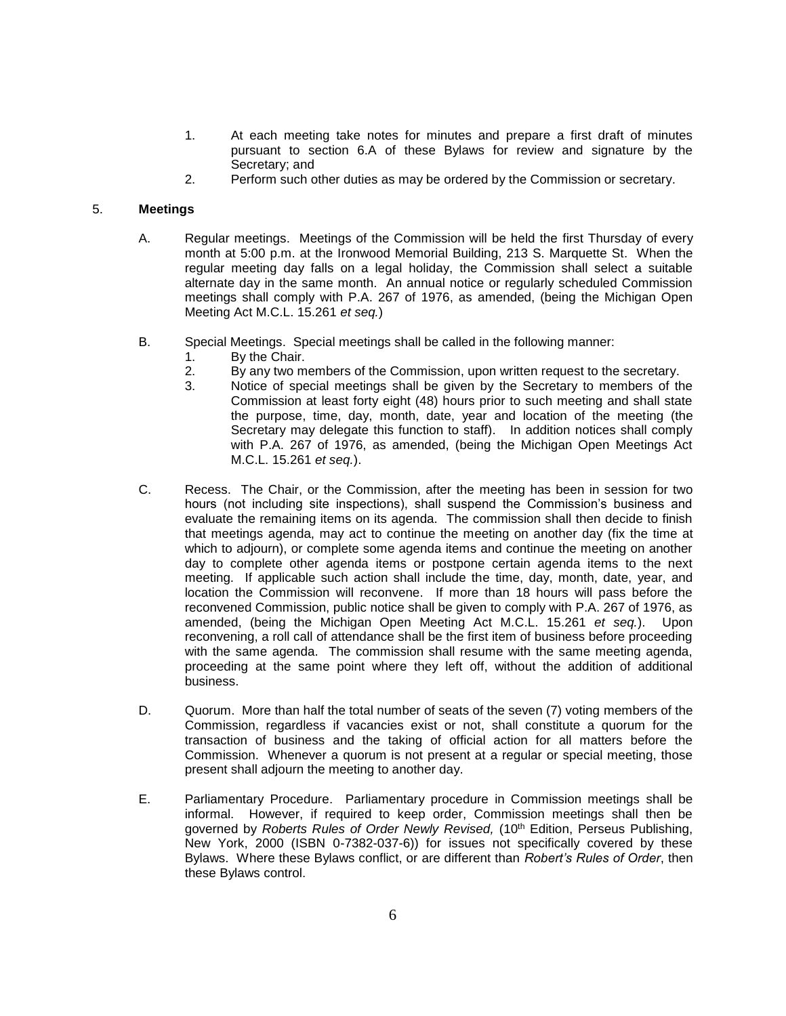- 1. At each meeting take notes for minutes and prepare a first draft of minutes pursuant to section 6.A of these Bylaws for review and signature by the Secretary; and
- 2. Perform such other duties as may be ordered by the Commission or secretary.

## 5. **Meetings**

- A. Regular meetings. Meetings of the Commission will be held the first Thursday of every month at 5:00 p.m. at the Ironwood Memorial Building, 213 S. Marquette St. When the regular meeting day falls on a legal holiday, the Commission shall select a suitable alternate day in the same month. An annual notice or regularly scheduled Commission meetings shall comply with P.A. 267 of 1976, as amended, (being the Michigan Open Meeting Act M.C.L. 15.261 *et seq.*)
- B. Special Meetings. Special meetings shall be called in the following manner:
	- 1. By the Chair.
	- 2. By any two members of the Commission, upon written request to the secretary.
	- 3. Notice of special meetings shall be given by the Secretary to members of the Commission at least forty eight (48) hours prior to such meeting and shall state the purpose, time, day, month, date, year and location of the meeting (the Secretary may delegate this function to staff). In addition notices shall comply with P.A. 267 of 1976, as amended, (being the Michigan Open Meetings Act M.C.L. 15.261 *et seq.*).
- C. Recess. The Chair, or the Commission, after the meeting has been in session for two hours (not including site inspections), shall suspend the Commission's business and evaluate the remaining items on its agenda. The commission shall then decide to finish that meetings agenda, may act to continue the meeting on another day (fix the time at which to adjourn), or complete some agenda items and continue the meeting on another day to complete other agenda items or postpone certain agenda items to the next meeting. If applicable such action shall include the time, day, month, date, year, and location the Commission will reconvene. If more than 18 hours will pass before the reconvened Commission, public notice shall be given to comply with P.A. 267 of 1976, as amended, (being the Michigan Open Meeting Act M.C.L. 15.261 *et seq.*). Upon reconvening, a roll call of attendance shall be the first item of business before proceeding with the same agenda. The commission shall resume with the same meeting agenda, proceeding at the same point where they left off, without the addition of additional business.
- D. Quorum. More than half the total number of seats of the seven (7) voting members of the Commission, regardless if vacancies exist or not, shall constitute a quorum for the transaction of business and the taking of official action for all matters before the Commission. Whenever a quorum is not present at a regular or special meeting, those present shall adjourn the meeting to another day.
- E. Parliamentary Procedure. Parliamentary procedure in Commission meetings shall be informal. However, if required to keep order, Commission meetings shall then be governed by *Roberts Rules of Order Newly Revised,* (10th Edition, Perseus Publishing, New York, 2000 (ISBN 0-7382-037-6)) for issues not specifically covered by these Bylaws. Where these Bylaws conflict, or are different than *Robert's Rules of Order*, then these Bylaws control.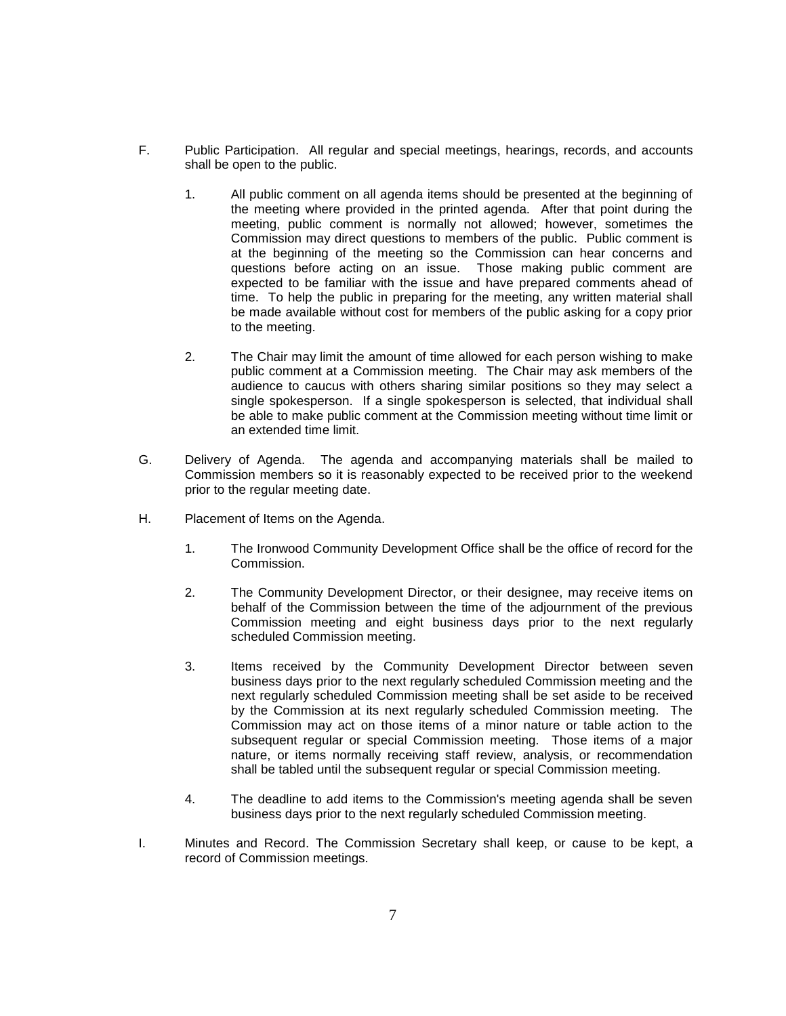- F. Public Participation. All regular and special meetings, hearings, records, and accounts shall be open to the public.
	- 1. All public comment on all agenda items should be presented at the beginning of the meeting where provided in the printed agenda. After that point during the meeting, public comment is normally not allowed; however, sometimes the Commission may direct questions to members of the public. Public comment is at the beginning of the meeting so the Commission can hear concerns and questions before acting on an issue. Those making public comment are expected to be familiar with the issue and have prepared comments ahead of time. To help the public in preparing for the meeting, any written material shall be made available without cost for members of the public asking for a copy prior to the meeting.
	- 2. The Chair may limit the amount of time allowed for each person wishing to make public comment at a Commission meeting. The Chair may ask members of the audience to caucus with others sharing similar positions so they may select a single spokesperson. If a single spokesperson is selected, that individual shall be able to make public comment at the Commission meeting without time limit or an extended time limit.
- G. Delivery of Agenda. The agenda and accompanying materials shall be mailed to Commission members so it is reasonably expected to be received prior to the weekend prior to the regular meeting date.
- H. Placement of Items on the Agenda.
	- 1. The Ironwood Community Development Office shall be the office of record for the Commission.
	- 2. The Community Development Director, or their designee, may receive items on behalf of the Commission between the time of the adjournment of the previous Commission meeting and eight business days prior to the next regularly scheduled Commission meeting.
	- 3. Items received by the Community Development Director between seven business days prior to the next regularly scheduled Commission meeting and the next regularly scheduled Commission meeting shall be set aside to be received by the Commission at its next regularly scheduled Commission meeting. The Commission may act on those items of a minor nature or table action to the subsequent regular or special Commission meeting. Those items of a major nature, or items normally receiving staff review, analysis, or recommendation shall be tabled until the subsequent regular or special Commission meeting.
	- 4. The deadline to add items to the Commission's meeting agenda shall be seven business days prior to the next regularly scheduled Commission meeting.
- I. Minutes and Record. The Commission Secretary shall keep, or cause to be kept, a record of Commission meetings.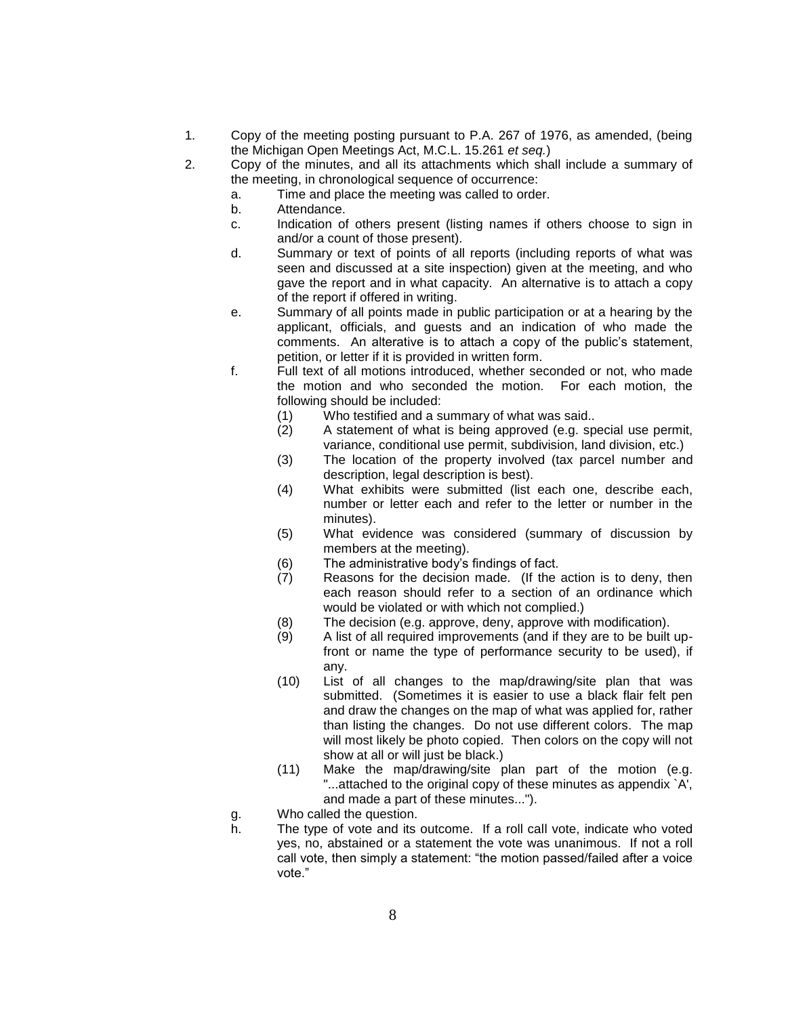- 1. Copy of the meeting posting pursuant to P.A. 267 of 1976, as amended, (being the Michigan Open Meetings Act, M.C.L. 15.261 *et seq.*)
- 2. Copy of the minutes, and all its attachments which shall include a summary of the meeting, in chronological sequence of occurrence:
	- a. Time and place the meeting was called to order.
	- b. Attendance.
	- c. Indication of others present (listing names if others choose to sign in and/or a count of those present).
	- d. Summary or text of points of all reports (including reports of what was seen and discussed at a site inspection) given at the meeting, and who gave the report and in what capacity. An alternative is to attach a copy of the report if offered in writing.
	- e. Summary of all points made in public participation or at a hearing by the applicant, officials, and guests and an indication of who made the comments. An alterative is to attach a copy of the public's statement, petition, or letter if it is provided in written form.
	- f. Full text of all motions introduced, whether seconded or not, who made the motion and who seconded the motion. For each motion, the following should be included:
		- (1) Who testified and a summary of what was said..
		- (2) A statement of what is being approved (e.g. special use permit, variance, conditional use permit, subdivision, land division, etc.)
		- (3) The location of the property involved (tax parcel number and description, legal description is best).
		- (4) What exhibits were submitted (list each one, describe each, number or letter each and refer to the letter or number in the minutes).
		- (5) What evidence was considered (summary of discussion by members at the meeting).
		- (6) The administrative body's findings of fact.
		- (7) Reasons for the decision made. (If the action is to deny, then each reason should refer to a section of an ordinance which would be violated or with which not complied.)
		- (8) The decision (e.g. approve, deny, approve with modification).
		- (9) A list of all required improvements (and if they are to be built upfront or name the type of performance security to be used), if any.
		- (10) List of all changes to the map/drawing/site plan that was submitted. (Sometimes it is easier to use a black flair felt pen and draw the changes on the map of what was applied for, rather than listing the changes. Do not use different colors. The map will most likely be photo copied. Then colors on the copy will not show at all or will just be black.)
		- (11) Make the map/drawing/site plan part of the motion (e.g. "...attached to the original copy of these minutes as appendix `A', and made a part of these minutes...").
	- g. Who called the question.
	- h. The type of vote and its outcome. If a roll call vote, indicate who voted yes, no, abstained or a statement the vote was unanimous. If not a roll call vote, then simply a statement: "the motion passed/failed after a voice vote."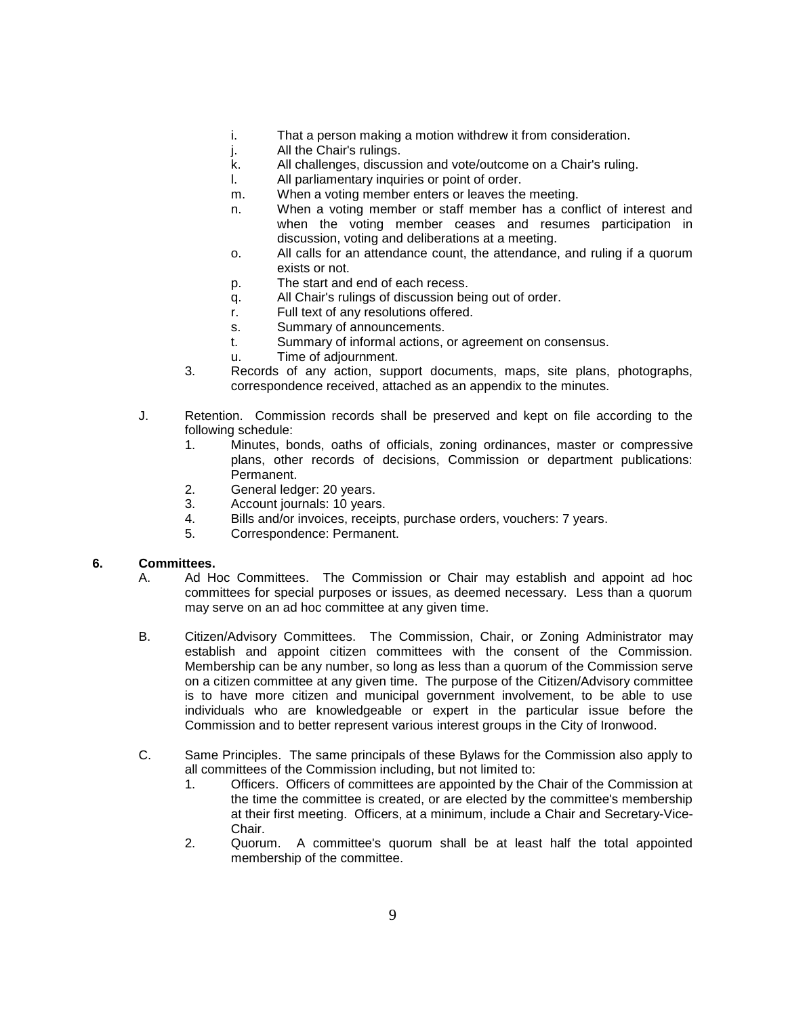- i. That a person making a motion withdrew it from consideration.
- j. All the Chair's rulings.
- k. All challenges, discussion and vote/outcome on a Chair's ruling.
- l. All parliamentary inquiries or point of order.
- m. When a voting member enters or leaves the meeting.
- n. When a voting member or staff member has a conflict of interest and when the voting member ceases and resumes participation in discussion, voting and deliberations at a meeting.
- o. All calls for an attendance count, the attendance, and ruling if a quorum exists or not.
- p. The start and end of each recess.
- q. All Chair's rulings of discussion being out of order.
- r. Full text of any resolutions offered.
- s. Summary of announcements.
- t. Summary of informal actions, or agreement on consensus.
- u. Time of adjournment.
- 3. Records of any action, support documents, maps, site plans, photographs, correspondence received, attached as an appendix to the minutes.
- J. Retention. Commission records shall be preserved and kept on file according to the following schedule:
	- 1. Minutes, bonds, oaths of officials, zoning ordinances, master or compressive plans, other records of decisions, Commission or department publications: Permanent.
	- 2. General ledger: 20 years.
	- 3. Account journals: 10 years.
	- 4. Bills and/or invoices, receipts, purchase orders, vouchers: 7 years.
	- 5. Correspondence: Permanent.

#### **6. Committees.**

- A. Ad Hoc Committees. The Commission or Chair may establish and appoint ad hoc committees for special purposes or issues, as deemed necessary. Less than a quorum may serve on an ad hoc committee at any given time.
- B. Citizen/Advisory Committees. The Commission, Chair, or Zoning Administrator may establish and appoint citizen committees with the consent of the Commission. Membership can be any number, so long as less than a quorum of the Commission serve on a citizen committee at any given time. The purpose of the Citizen/Advisory committee is to have more citizen and municipal government involvement, to be able to use individuals who are knowledgeable or expert in the particular issue before the Commission and to better represent various interest groups in the City of Ironwood.
- C. Same Principles. The same principals of these Bylaws for the Commission also apply to all committees of the Commission including, but not limited to:
	- 1. Officers. Officers of committees are appointed by the Chair of the Commission at the time the committee is created, or are elected by the committee's membership at their first meeting. Officers, at a minimum, include a Chair and Secretary-Vice-Chair.
	- 2. Quorum. A committee's quorum shall be at least half the total appointed membership of the committee.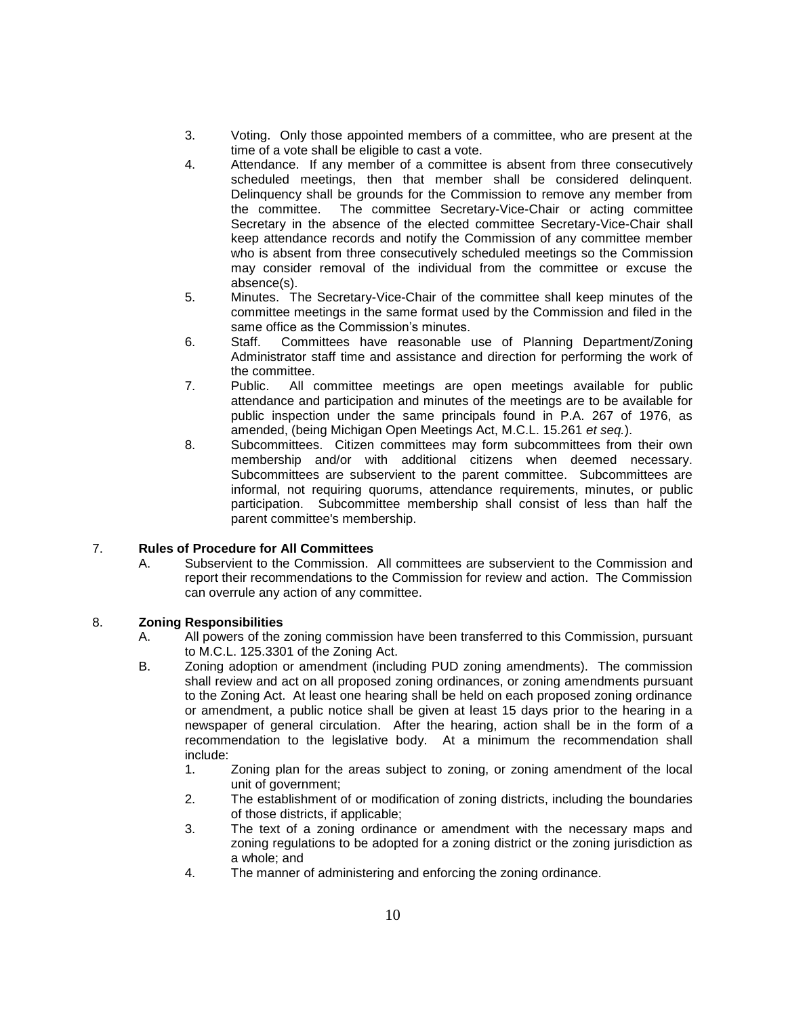- 3. Voting. Only those appointed members of a committee, who are present at the time of a vote shall be eligible to cast a vote.
- 4. Attendance. If any member of a committee is absent from three consecutively scheduled meetings, then that member shall be considered delinquent. Delinquency shall be grounds for the Commission to remove any member from the committee. The committee Secretary-Vice-Chair or acting committee Secretary in the absence of the elected committee Secretary-Vice-Chair shall keep attendance records and notify the Commission of any committee member who is absent from three consecutively scheduled meetings so the Commission may consider removal of the individual from the committee or excuse the absence(s).
- 5. Minutes. The Secretary-Vice-Chair of the committee shall keep minutes of the committee meetings in the same format used by the Commission and filed in the same office as the Commission's minutes.
- 6. Staff. Committees have reasonable use of Planning Department/Zoning Administrator staff time and assistance and direction for performing the work of the committee.
- 7. Public. All committee meetings are open meetings available for public attendance and participation and minutes of the meetings are to be available for public inspection under the same principals found in P.A. 267 of 1976, as amended, (being Michigan Open Meetings Act, M.C.L. 15.261 *et seq.*).
- 8. Subcommittees. Citizen committees may form subcommittees from their own membership and/or with additional citizens when deemed necessary. Subcommittees are subservient to the parent committee. Subcommittees are informal, not requiring quorums, attendance requirements, minutes, or public participation. Subcommittee membership shall consist of less than half the parent committee's membership.

# 7. **Rules of Procedure for All Committees**

A. Subservient to the Commission. All committees are subservient to the Commission and report their recommendations to the Commission for review and action. The Commission can overrule any action of any committee.

## 8. **Zoning Responsibilities**

- A. All powers of the zoning commission have been transferred to this Commission, pursuant to M.C.L. 125.3301 of the Zoning Act.
- B. Zoning adoption or amendment (including PUD zoning amendments). The commission shall review and act on all proposed zoning ordinances, or zoning amendments pursuant to the Zoning Act. At least one hearing shall be held on each proposed zoning ordinance or amendment, a public notice shall be given at least 15 days prior to the hearing in a newspaper of general circulation. After the hearing, action shall be in the form of a recommendation to the legislative body. At a minimum the recommendation shall include:
	- 1. Zoning plan for the areas subject to zoning, or zoning amendment of the local unit of government;
	- 2. The establishment of or modification of zoning districts, including the boundaries of those districts, if applicable;
	- 3. The text of a zoning ordinance or amendment with the necessary maps and zoning regulations to be adopted for a zoning district or the zoning jurisdiction as a whole; and
	- 4. The manner of administering and enforcing the zoning ordinance.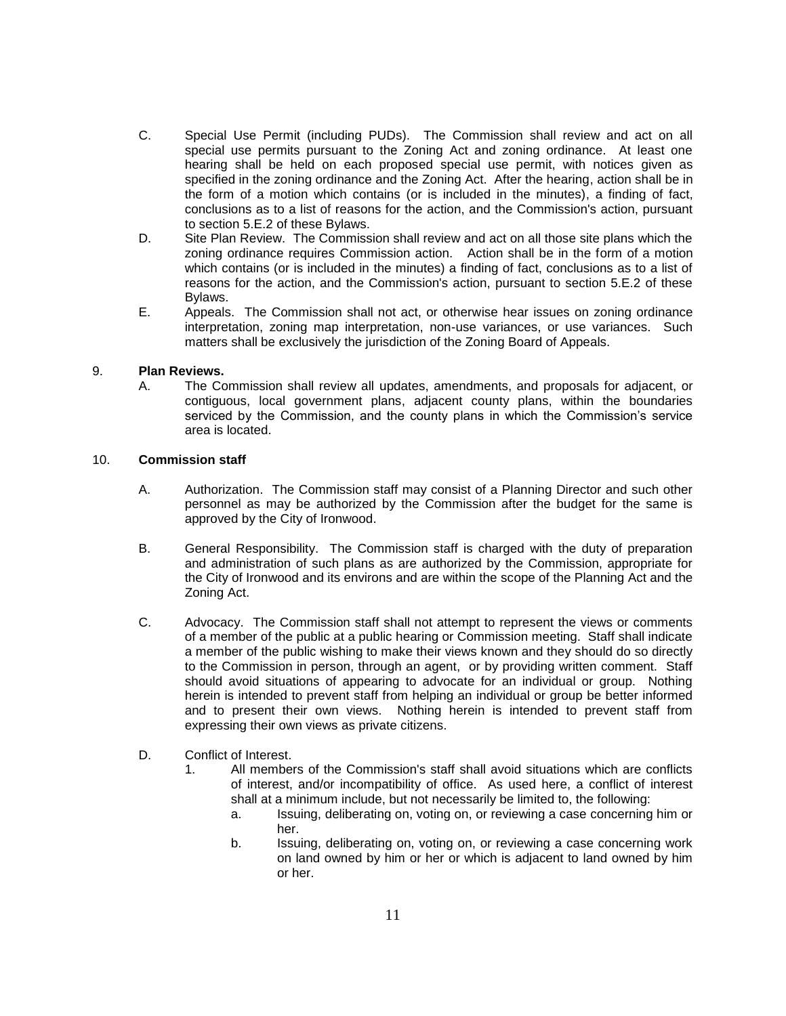- C. Special Use Permit (including PUDs). The Commission shall review and act on all special use permits pursuant to the Zoning Act and zoning ordinance. At least one hearing shall be held on each proposed special use permit, with notices given as specified in the zoning ordinance and the Zoning Act. After the hearing, action shall be in the form of a motion which contains (or is included in the minutes), a finding of fact, conclusions as to a list of reasons for the action, and the Commission's action, pursuant to section 5.E.2 of these Bylaws.
- D. Site Plan Review. The Commission shall review and act on all those site plans which the zoning ordinance requires Commission action. Action shall be in the form of a motion which contains (or is included in the minutes) a finding of fact, conclusions as to a list of reasons for the action, and the Commission's action, pursuant to section 5.E.2 of these Bylaws.
- E. Appeals. The Commission shall not act, or otherwise hear issues on zoning ordinance interpretation, zoning map interpretation, non-use variances, or use variances. Such matters shall be exclusively the jurisdiction of the Zoning Board of Appeals.

## 9. **Plan Reviews.**

A. The Commission shall review all updates, amendments, and proposals for adjacent, or contiguous, local government plans, adjacent county plans, within the boundaries serviced by the Commission, and the county plans in which the Commission's service area is located.

### 10. **Commission staff**

- A. Authorization. The Commission staff may consist of a Planning Director and such other personnel as may be authorized by the Commission after the budget for the same is approved by the City of Ironwood.
- B. General Responsibility. The Commission staff is charged with the duty of preparation and administration of such plans as are authorized by the Commission, appropriate for the City of Ironwood and its environs and are within the scope of the Planning Act and the Zoning Act.
- C. Advocacy. The Commission staff shall not attempt to represent the views or comments of a member of the public at a public hearing or Commission meeting. Staff shall indicate a member of the public wishing to make their views known and they should do so directly to the Commission in person, through an agent, or by providing written comment. Staff should avoid situations of appearing to advocate for an individual or group. Nothing herein is intended to prevent staff from helping an individual or group be better informed and to present their own views. Nothing herein is intended to prevent staff from expressing their own views as private citizens.
- D. Conflict of Interest.
	- 1. All members of the Commission's staff shall avoid situations which are conflicts of interest, and/or incompatibility of office. As used here, a conflict of interest shall at a minimum include, but not necessarily be limited to, the following:
		- a. Issuing, deliberating on, voting on, or reviewing a case concerning him or her.
		- b. Issuing, deliberating on, voting on, or reviewing a case concerning work on land owned by him or her or which is adjacent to land owned by him or her.